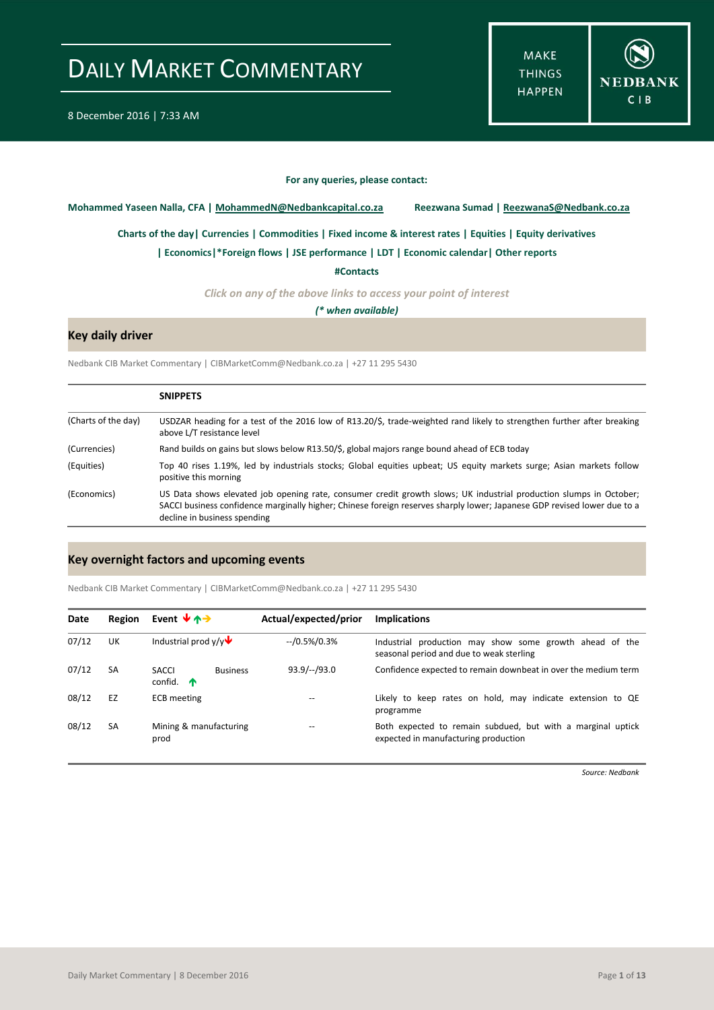**MAKE THINGS HAPPEN** 



#### **For any queries, please contact:**

<span id="page-0-0"></span>**Mohammed Yaseen Nalla, CFA | MohammedN@Nedbankcapital.co.za Reezwana Sumad | ReezwanaS@Nedbank.co.za**

**[Charts of the day|](#page-1-0) [Currencies](#page-2-0) [| Commodities](#page-3-0) | [Fixed income & interest rates](#page-4-0) [| Equities](#page-5-0) | Equity derivatives**

**[| Economics|](#page-6-0)\*Foreign flows | [JSE performance](#page-8-0) [| LDT](#page-9-0) [| Economic calendar|](#page-10-0) Other reports** 

**[#Contacts](#page-11-0)**

*Click on any of the above links to access your point of interest*

*(\* when available)*

### **Key daily driver**

Nedbank CIB Market Commentary | CIBMarketComm@Nedbank.co.za | +27 11 295 5430

|                     | <b>SNIPPETS</b>                                                                                                                                                                                                                                                                |
|---------------------|--------------------------------------------------------------------------------------------------------------------------------------------------------------------------------------------------------------------------------------------------------------------------------|
| (Charts of the day) | USDZAR heading for a test of the 2016 low of R13.20/\$, trade-weighted rand likely to strengthen further after breaking<br>above L/T resistance level                                                                                                                          |
| (Currencies)        | Rand builds on gains but slows below R13.50/\$, global majors range bound ahead of ECB today                                                                                                                                                                                   |
| (Equities)          | Top 40 rises 1.19%, led by industrials stocks; Global equities upbeat; US equity markets surge; Asian markets follow<br>positive this morning                                                                                                                                  |
| (Economics)         | US Data shows elevated job opening rate, consumer credit growth slows; UK industrial production slumps in October;<br>SACCI business confidence marginally higher; Chinese foreign reserves sharply lower; Japanese GDP revised lower due to a<br>decline in business spending |

#### **Key overnight factors and upcoming events**

Nedbank CIB Market Commentary | CIBMarketComm@Nedbank.co.za | +27 11 295 5430

| Date  | Region    | Event $\forall$ $\land \rightarrow$            | Actual/expected/prior | <b>Implications</b>                                                                                 |
|-------|-----------|------------------------------------------------|-----------------------|-----------------------------------------------------------------------------------------------------|
| 07/12 | UK        | Industrial prod $v/v$                          | $-$ /0.5%/0.3%        | Industrial production may show some growth ahead of the<br>seasonal period and due to weak sterling |
| 07/12 | <b>SA</b> | SACCI<br><b>Business</b><br>confid. $\uparrow$ | $93.9/-/93.0$         | Confidence expected to remain downbeat in over the medium term                                      |
| 08/12 | EZ        | <b>ECB</b> meeting                             |                       | Likely to keep rates on hold, may indicate extension to QE<br>programme                             |
| 08/12 | <b>SA</b> | Mining & manufacturing<br>prod                 |                       | Both expected to remain subdued, but with a marginal uptick<br>expected in manufacturing production |

*Source: Nedbank*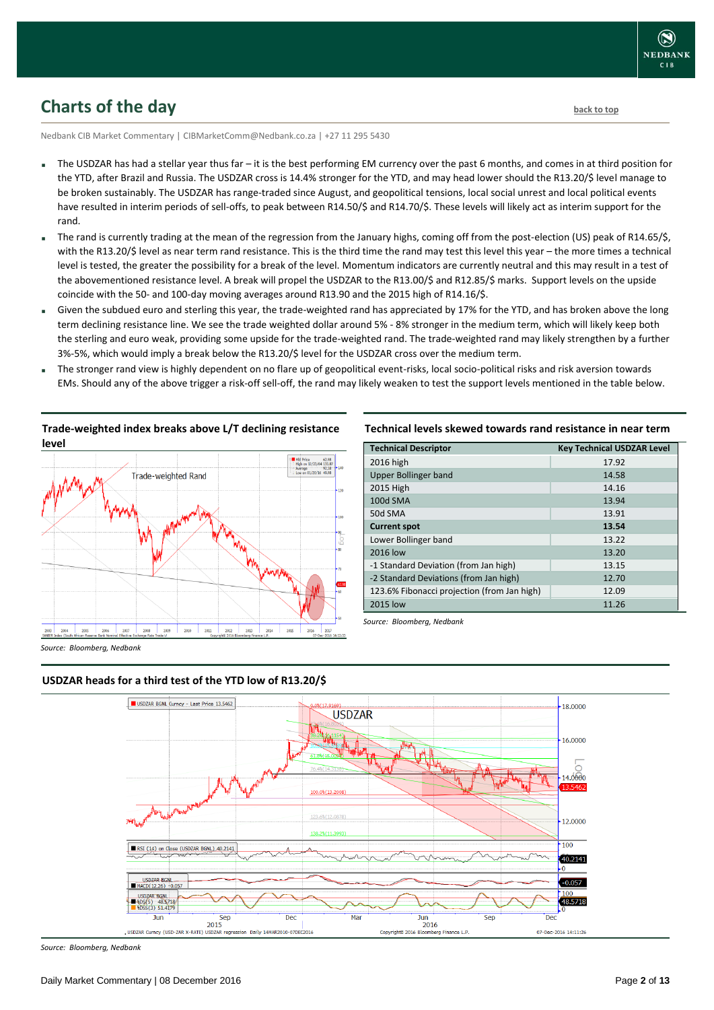### <span id="page-1-0"></span>**Charts of the day** [back to top](#page-0-0) back to top

Nedbank CIB Market Commentary | CIBMarketComm@Nedbank.co.za | +27 11 295 5430

- The USDZAR has had a stellar year thus far it is the best performing EM currency over the past 6 months, and comes in at third position for the YTD, after Brazil and Russia. The USDZAR cross is 14.4% stronger for the YTD, and may head lower should the R13.20/\$ level manage to be broken sustainably. The USDZAR has range-traded since August, and geopolitical tensions, local social unrest and local political events have resulted in interim periods of sell-offs, to peak between R14.50/\$ and R14.70/\$. These levels will likely act as interim support for the rand.
- The rand is currently trading at the mean of the regression from the January highs, coming off from the post-election (US) peak of R14.65/\$, with the R13.20/\$ level as near term rand resistance. This is the third time the rand may test this level this year – the more times a technical level is tested, the greater the possibility for a break of the level. Momentum indicators are currently neutral and this may result in a test of the abovementioned resistance level. A break will propel the USDZAR to the R13.00/\$ and R12.85/\$ marks. Support levels on the upside coincide with the 50- and 100-day moving averages around R13.90 and the 2015 high of R14.16/\$.
- Given the subdued euro and sterling this year, the trade-weighted rand has appreciated by 17% for the YTD, and has broken above the long term declining resistance line. We see the trade weighted dollar around 5% - 8% stronger in the medium term, which will likely keep both the sterling and euro weak, providing some upside for the trade-weighted rand. The trade-weighted rand may likely strengthen by a further 3%-5%, which would imply a break below the R13.20/\$ level for the USDZAR cross over the medium term.
- The stronger rand view is highly dependent on no flare up of geopolitical event-risks, local socio-political risks and risk aversion towards EMs. Should any of the above trigger a risk-off sell-off, the rand may likely weaken to test the support levels mentioned in the table below.



**Trade-weighted index breaks above L/T declining resistance** 

**Technical levels skewed towards rand resistance in near term**

| <b>Technical Descriptor</b>                 | <b>Key Technical USDZAR Level</b> |
|---------------------------------------------|-----------------------------------|
| 2016 high                                   | 17.92                             |
| <b>Upper Bollinger band</b>                 | 14.58                             |
| 2015 High                                   | 14.16                             |
| 100d SMA                                    | 13.94                             |
| 50d SMA                                     | 13.91                             |
| <b>Current spot</b>                         | 13.54                             |
| Lower Bollinger band                        | 13.22                             |
| 2016 low                                    | 13.20                             |
| -1 Standard Deviation (from Jan high)       | 13.15                             |
| -2 Standard Deviations (from Jan high)      | 12.70                             |
| 123.6% Fibonacci projection (from Jan high) | 12.09                             |
| 2015 low                                    | 11.26                             |

*Source: Bloomberg, Nedbank*

*Source: Bloomberg, Nedbank*



#### **USDZAR heads for a third test of the YTD low of R13.20/\$**

*Source: Bloomberg, Nedbank*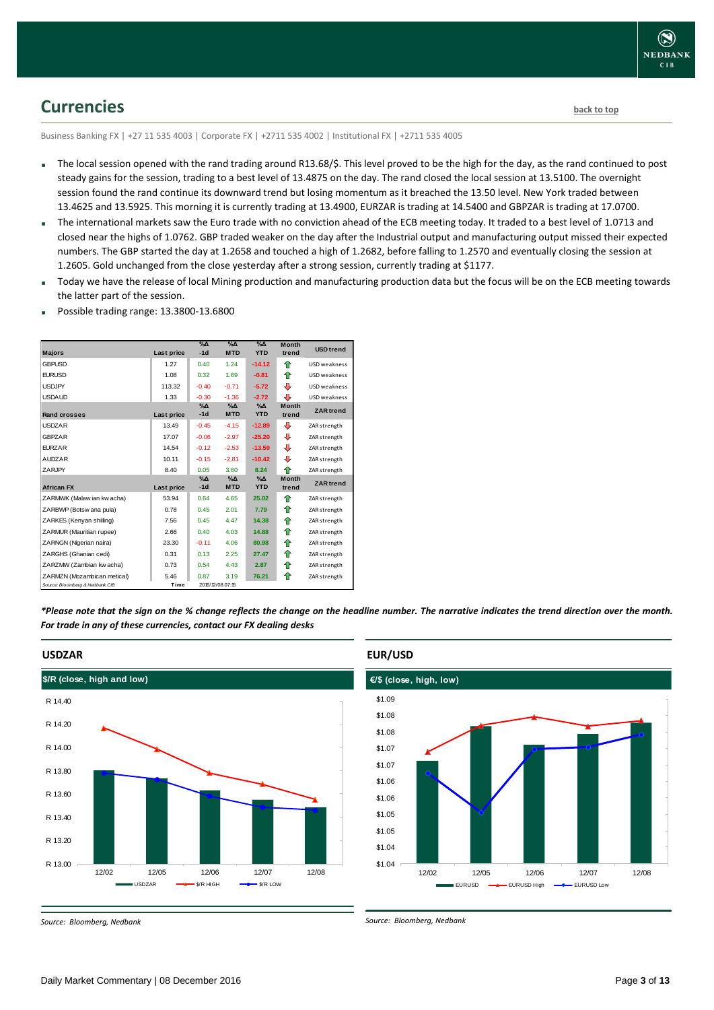### <span id="page-2-0"></span>**Currencies [back to top](#page-0-0)**

Business Banking FX | +27 11 535 4003 | Corporate FX | +2711 535 4002 | Institutional FX | +2711 535 4005

- The local session opened with the rand trading around R13.68/\$. This level proved to be the high for the day, as the rand continued to post steady gains for the session, trading to a best level of 13.4875 on the day. The rand closed the local session at 13.5100. The overnight session found the rand continue its downward trend but losing momentum as it breached the 13.50 level. New York traded between 13.4625 and 13.5925. This morning it is currently trading at 13.4900, EURZAR is trading at 14.5400 and GBPZAR is trading at 17.0700.
- The international markets saw the Euro trade with no conviction ahead of the ECB meeting today. It traded to a best level of 1.0713 and closed near the highs of 1.0762. GBP traded weaker on the day after the Industrial output and manufacturing output missed their expected numbers. The GBP started the day at 1.2658 and touched a high of 1.2682, before falling to 1.2570 and eventually closing the session at 1.2605. Gold unchanged from the close yesterday after a strong session, currently trading at \$1177.
- Today we have the release of local Mining production and manufacturing production data but the focus will be on the ECB meeting towards the latter part of the session.
- Possible trading range: 13.3800-13.6800

| <b>Majors</b>                   | Last price | $\%$ $\Delta$<br>$-1d$ | $\%$ $\Delta$<br><b>MTD</b> | $\Delta_0$<br><b>YTD</b>    | <b>Month</b><br>trend | <b>USD</b> trend    |
|---------------------------------|------------|------------------------|-----------------------------|-----------------------------|-----------------------|---------------------|
| <b>GBPUSD</b>                   | 1.27       | 0.40                   | 1.24                        | $-14.12$                    | ⇑                     | USD weakness        |
| <b>EURUSD</b>                   | 1.08       | 0.32                   | 1.69                        | $-0.81$                     | ⇑                     | USD weakness        |
| <b>USDJPY</b>                   | 113.32     | $-0.40$                | $-0.71$                     | $-5.72$                     | ⊕                     | USD weakness        |
| <b>USDAUD</b>                   | 1.33       | $-0.30$                | $-1.36$                     | $-2.72$                     | ⊕                     | <b>USD</b> weakness |
| Rand crosses                    | Last price | $\%$ $\Delta$<br>$-1d$ | $\%$ $\Delta$<br><b>MTD</b> | $\%$ $\Delta$<br><b>YTD</b> | <b>Month</b><br>trend | <b>ZAR</b> trend    |
| <b>USDZAR</b>                   | 13.49      | $-0.45$                | $-4.15$                     | $-12.89$                    | ⊕                     | ZAR strength        |
| <b>GBPZAR</b>                   | 17.07      | $-0.06$                | $-2.97$                     | $-25.20$                    | ⊕                     | ZAR strength        |
| <b>EURZAR</b>                   | 14.54      | $-0.12$                | $-2.53$                     | $-13.59$                    | ⊕                     | ZAR strength        |
| <b>AUDZAR</b>                   | 10.11      | $-0.15$                | $-2.81$                     | $-10.42$                    | ⊕                     | ZAR strength        |
| ZARJPY                          | 8.40       | 0.05                   | 3.60                        | 8.24                        | ♠                     | ZAR strength        |
| <b>African FX</b>               | Last price | $\%$ $\Delta$<br>$-1d$ | $\%$ $\Delta$<br><b>MTD</b> | $\%$ $\Delta$<br><b>YTD</b> | <b>Month</b><br>trend | <b>ZAR</b> trend    |
| ZARMWK (Malaw ian kw acha)      | 53.94      | 0.64                   | 4.65                        | 25.02                       | ♠                     | ZAR strength        |
| ZARBWP (Botsw ana pula)         | 0.78       | 0.45                   | 2.01                        | 7.79                        | ⇑                     | ZAR strength        |
| ZARKES (Kenyan shilling)        | 7.56       | 0.45                   | 4.47                        | 14.38                       | ⇑                     | ZAR strength        |
| ZARMUR (Mauritian rupee)        | 2.66       | 0.40                   | 4.03                        | 14.88                       | ⇑                     | ZAR strength        |
| ZARNGN (Nigerian naira)         | 23.30      | $-0.11$                | 4.06                        | 80.98                       | ⇑                     | ZAR strength        |
| ZARGHS (Ghanian cedi)           | 0.31       | 0.13                   | 2.25                        | 27.47                       | ♠                     | ZAR strength        |
| ZARZMW (Zambian kw acha)        | 0.73       | 0.54                   | 4.43                        | 2.87                        | ⇑                     | ZAR strength        |
| ZARMZN (Mozambican metical)     | 5.46       | 0.87                   | 3.19                        | 76.21                       | ⇑                     | ZAR strength        |
| Source: Bloomberg & Nedbank CIB | Time       |                        | 2016/12/08 07:15            |                             |                       |                     |

*\*Please note that the sign on the % change reflects the change on the headline number. The narrative indicates the trend direction over the month. For trade in any of these currencies, contact our FX dealing desks*



#### **EUR/USD**

*Source: Bloomberg, Nedbank*



*Source: Bloomberg, Nedbank*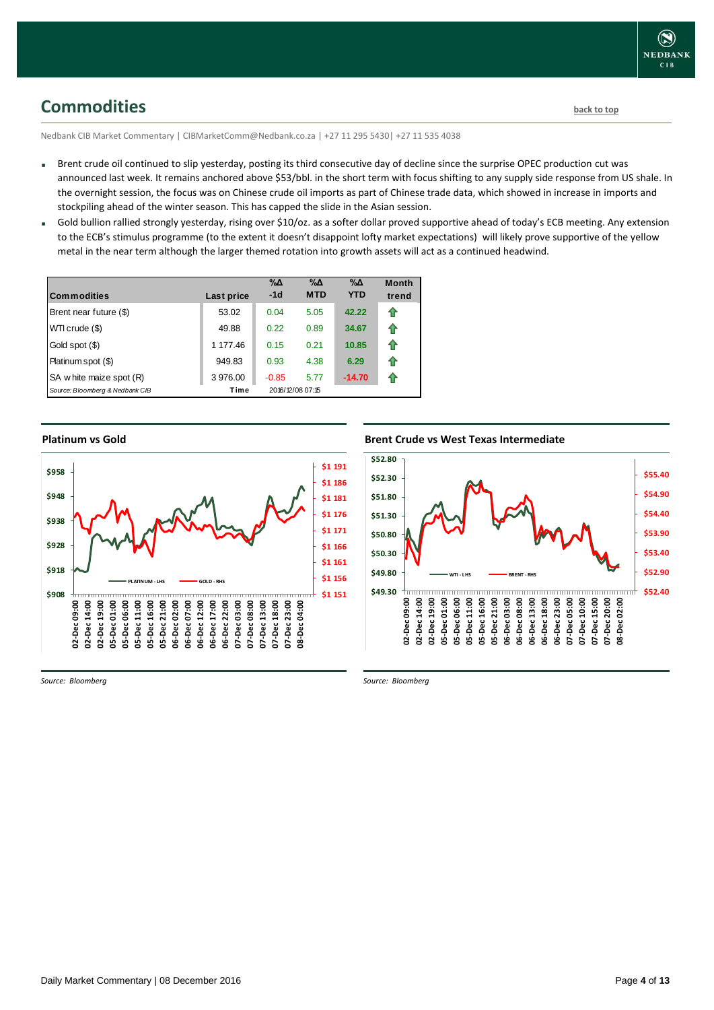<span id="page-3-0"></span>**Commodities [back to top](#page-0-0)** 

Nedbank CIB Market Commentary | CIBMarketComm@Nedbank.co.za | +27 11 295 5430| +27 11 535 4038

- Brent crude oil continued to slip yesterday, posting its third consecutive day of decline since the surprise OPEC production cut was announced last week. It remains anchored above \$53/bbl. in the short term with focus shifting to any supply side response from US shale. In the overnight session, the focus was on Chinese crude oil imports as part of Chinese trade data, which showed in increase in imports and stockpiling ahead of the winter season. This has capped the slide in the Asian session.
- Gold bullion rallied strongly yesterday, rising over \$10/oz. as a softer dollar proved supportive ahead of today's ECB meeting. Any extension to the ECB's stimulus programme (to the extent it doesn't disappoint lofty market expectations) will likely prove supportive of the yellow metal in the near term although the larger themed rotation into growth assets will act as a continued headwind.

| <b>Commodities</b>              | Last price | $\% \Delta$<br>$-1d$ | $\% \Delta$<br><b>MTD</b> | $\% \Delta$<br><b>YTD</b> | <b>Month</b><br>trend |
|---------------------------------|------------|----------------------|---------------------------|---------------------------|-----------------------|
| Brent near future (\$)          | 53.02      | 0.04                 | 5.05                      | 42.22                     | ⇑                     |
| WTI crude (\$)                  | 49.88      | 0.22                 | 0.89                      | 34.67                     | ⇑                     |
| Gold spot (\$)                  | 1 177.46   | 0.15                 | 0.21                      | 10.85                     | ⇑                     |
| Platinum spot (\$)              | 949.83     | 0.93                 | 4.38                      | 6.29                      | ⇑                     |
| SA w hite maize spot (R)        | 3976.00    | $-0.85$              | 5.77                      | $-14.70$                  | ⇑                     |
| Source: Bloomberg & Nedbank CIB | Time       |                      | 2016/12/08 07:15          |                           |                       |

**Platinum vs Gold Platinum vs. Gold** 



**Brent Crude vs West Texas Intermediate Brent Crude vs West Texas Intermediate** 



*Source: Bloomberg*

*Source: Bloomberg*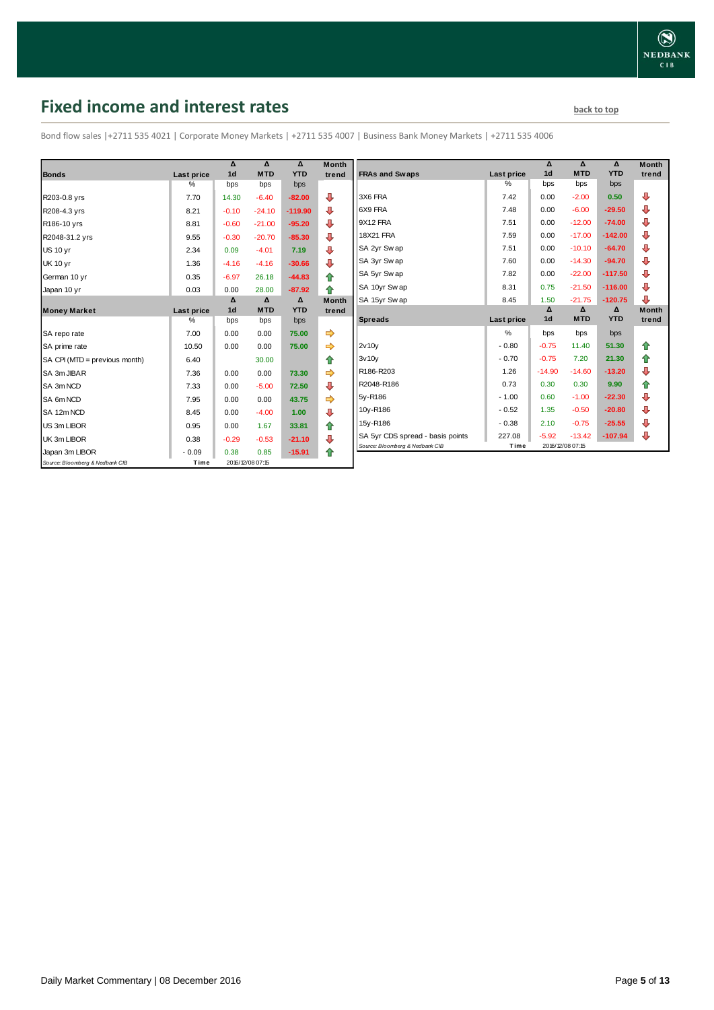## <span id="page-4-0"></span>**Fixed income and interest rates back to the line of the set of the set of the set of the set of the set of the set of the set of the set of the set of the set of the set of the set of the set of the set of the set of th**

Bond flow sales |+2711 535 4021 | Corporate Money Markets | +2711 535 4007 | Business Bank Money Markets | +2711 535 4006

|                                 |            | Δ              | Δ                | Δ          | <b>Month</b> |
|---------------------------------|------------|----------------|------------------|------------|--------------|
| <b>Bonds</b>                    | Last price | 1 <sub>d</sub> | <b>MTD</b>       | <b>YTD</b> | trend        |
|                                 | %          | bps            | bps              | bps        |              |
| R203-0.8 yrs                    | 7.70       | 14.30          | $-6.40$          | $-82.00$   | ⊕            |
| R208-4.3 yrs                    | 8.21       | $-0.10$        | $-24.10$         | $-119.90$  | ⊕            |
| R186-10 yrs                     | 8.81       | $-0.60$        | $-21.00$         | $-95.20$   | ⇩            |
| R2048-31.2 yrs                  | 9.55       | $-0.30$        | $-20.70$         | $-85.30$   | ₽            |
| <b>US 10 vr</b>                 | 2.34       | 0.09           | $-4.01$          | 7.19       | ⊕            |
| <b>UK 10 yr</b>                 | 1.36       | $-4.16$        | $-4.16$          | $-30.66$   | ⊕            |
| German 10 yr                    | 0.35       | $-6.97$        | 26.18            | $-44.83$   | ⇑            |
| Japan 10 yr                     | 0.03       | 0.00           | 28.00            | $-87.92$   | 全            |
|                                 |            | Δ              | Δ                | Δ          | <b>Month</b> |
| <b>Money Market</b>             | Last price | 1 <sub>d</sub> | <b>MTD</b>       | <b>YTD</b> | trend        |
|                                 | $\%$       | bps            | bps              | bps        |              |
| SA repo rate                    | 7.00       | 0.00           | 0.00             | 75.00      | ⇛            |
| SA prime rate                   | 10.50      | 0.00           | 0.00             | 75.00      |              |
| SA CPI (MTD = previous month)   | 6.40       |                | 30.00            |            | ⇑            |
| SA 3m JIBAR                     | 7.36       | 0.00           | 0.00             | 73.30      |              |
| SA 3m NCD                       | 7.33       | 0.00           | $-5.00$          | 72.50      | ⊕            |
| SA 6m NCD                       | 7.95       | 0.00           | 0.00             | 43.75      | ⇨            |
| SA 12m NCD                      | 8.45       | 0.00           | $-4.00$          | 1.00       | ⊕            |
| US 3m LIBOR                     | 0.95       | 0.00           | 1.67             | 33.81      | 合            |
| UK 3m LIBOR                     | 0.38       | $-0.29$        | $-0.53$          | $-21.10$   | ₽            |
| Japan 3m LIBOR                  | $-0.09$    | 0.38           | 0.85             | $-15.91$   | ⇮            |
| Source: Bloomberg & Nedbank CIB | Time       |                | 2016/12/08 07:15 |            |              |

|                                  |            | Δ              | Δ          | $\Lambda$  | <b>Month</b> |
|----------------------------------|------------|----------------|------------|------------|--------------|
| <b>FRAs and Swaps</b>            | Last price | 1 <sub>d</sub> | <b>MTD</b> | <b>YTD</b> | trend        |
|                                  | %          | bps            | bps        | bps        |              |
| 3X6 FRA                          | 7.42       | 0.00           | $-2.00$    | 0.50       | ⊕            |
| 6X9 FRA                          | 7.48       | 0.00           | $-6.00$    | $-29.50$   | ⊕            |
| 9X12 FRA                         | 7.51       | 0.00           | $-12.00$   | $-74.00$   | ⊕            |
| <b>18X21 FRA</b>                 | 7.59       | 0.00           | $-17.00$   | $-142.00$  | ⊕            |
| SA 2yr Sw ap                     | 7.51       | 0.00           | $-10.10$   | $-64.70$   | ⊕            |
| SA 3yr Sw ap                     | 7.60       | 0.00           | $-14.30$   | $-94.70$   | ⊕            |
| SA 5yr Sw ap                     | 7.82       | 0.00           | $-22.00$   | $-117.50$  | ⊕            |
| SA 10yr Sw ap                    | 8.31       | 0.75           | $-21.50$   | $-116.00$  | ⊕            |
| SA 15yr Swap                     | 8.45       | 1.50           | $-21.75$   | $-120.75$  | ⊕            |
|                                  |            | Δ              | Δ          | Δ          | <b>Month</b> |
| <b>Spreads</b>                   | Last price | 1 <sub>d</sub> | <b>MTD</b> |            |              |
|                                  |            |                |            | <b>YTD</b> | trend        |
|                                  | $\%$       | bps            | bps        | bps        |              |
| 2v10v                            | $-0.80$    | $-0.75$        | 11.40      | 51.30      | ⇑            |
| 3v10v                            | $-0.70$    | $-0.75$        | 7.20       | 21.30      | ✿            |
| R186-R203                        | 1.26       | $-14.90$       | $-14.60$   | $-13.20$   | ⊕            |
| R2048-R186                       | 0.73       | 0.30           | 0.30       | 9.90       | 合            |
| 5y-R186                          | $-1.00$    | 0.60           | $-1.00$    | $-22.30$   | ₽            |
| 10y-R186                         | $-0.52$    | 1.35           | $-0.50$    | $-20.80$   | ⊕            |
| 15y-R186                         | $-0.38$    | 2.10           | $-0.75$    | $-25.55$   | ⊕            |
| SA 5yr CDS spread - basis points | 227.08     | $-5.92$        | $-13.42$   | $-107.94$  | ⇩            |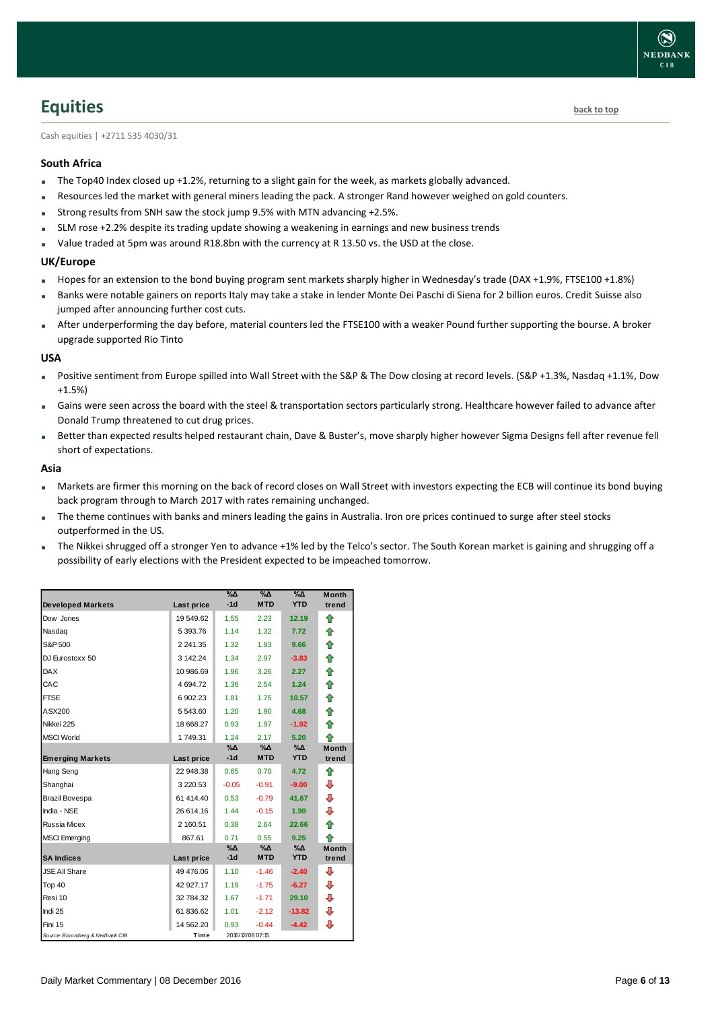### <span id="page-5-0"></span>**Equities [back to top](#page-0-0)**

Cash equities | +2711 535 4030/31

#### **South Africa**

- The Top40 Index closed up +1.2%, returning to a slight gain for the week, as markets globally advanced.
- Resources led the market with general miners leading the pack. A stronger Rand however weighed on gold counters.
- Strong results from SNH saw the stock jump 9.5% with MTN advancing +2.5%.
- SLM rose +2.2% despite its trading update showing a weakening in earnings and new business trends
- Value traded at 5pm was around R18.8bn with the currency at R 13.50 vs. the USD at the close.

#### **UK/Europe**

- Hopes for an extension to the bond buying program sent markets sharply higher in Wednesday's trade (DAX +1.9%, FTSE100 +1.8%)
- Banks were notable gainers on reports Italy may take a stake in lender Monte Dei Paschi di Siena for 2 billion euros. Credit Suisse also jumped after announcing further cost cuts.
- After underperforming the day before, material counters led the FTSE100 with a weaker Pound further supporting the bourse. A broker upgrade supported Rio Tinto

#### **USA**

- Positive sentiment from Europe spilled into Wall Street with the S&P & The Dow closing at record levels. (S&P +1.3%, Nasdaq +1.1%, Dow +1.5%)
- Gains were seen across the board with the steel & transportation sectors particularly strong. Healthcare however failed to advance after Donald Trump threatened to cut drug prices.
- Better than expected results helped restaurant chain, Dave & Buster's, move sharply higher however Sigma Designs fell after revenue fell short of expectations.

#### **Asia**

- Markets are firmer this morning on the back of record closes on Wall Street with investors expecting the ECB will continue its bond buying back program through to March 2017 with rates remaining unchanged.
- The theme continues with banks and miners leading the gains in Australia. Iron ore prices continued to surge after steel stocks outperformed in the US.
- The Nikkei shrugged off a stronger Yen to advance +1% led by the Telco's sector. The South Korean market is gaining and shrugging off a possibility of early elections with the President expected to be impeached tomorrow.

| <b>Developed Markets</b>        | Last price    | $\%$ $\Delta$<br>$-1d$ | %Δ<br><b>MTD</b> | %Δ<br><b>YTD</b> | <b>Month</b><br>trend |
|---------------------------------|---------------|------------------------|------------------|------------------|-----------------------|
| Dow Jones                       | 19 549.62     | 1.55                   | 2.23             | 12.19            | ⇮                     |
| Nasdag                          | 5 393.76      | 1.14                   | 1.32             | 7.72             | ⇑                     |
| S&P 500                         | 2 2 4 1 . 3 5 | 1.32                   | 1.93             | 9.66             | ⇮                     |
| DJ Eurostoxx 50                 | 3 142.24      | 1.34                   | 2.97             | $-3.83$          | ♠                     |
| <b>DAX</b>                      | 10 986.69     | 1.96                   | 3.26             | 2.27             | 合                     |
| CAC                             | 4 694.72      | 1.36                   | 2.54             | 1.24             | ⇑                     |
| <b>FTSE</b>                     | 6902.23       | 1.81                   | 1.75             | 10.57            | 合                     |
| ASX200                          | 5 543.60      | 1.20                   | 1.90             | 4.68             | ⇑                     |
| Nikkei 225                      | 18 668.27     | 0.93                   | 1.97             | $-1.92$          | ♠                     |
| <b>MSCI World</b>               | 1749.31       | 1.24                   | 2.17             | 5.20             | ♠                     |
|                                 |               | %Д<br>$-1d$            | %Δ<br><b>MTD</b> | %Δ<br><b>YTD</b> | <b>Month</b><br>trend |
| <b>Emerging Markets</b>         | Last price    |                        |                  |                  |                       |
| Hang Seng                       | 22 948.38     | 0.65                   | 0.70             | 4.72             | ⇑                     |
| Shanghai                        | 3 2 2 0.5 3   | $-0.05$                | $-0.91$          | $-9.00$          | ⊕                     |
| Brazil Bovespa                  | 61 414.40     | 0.53                   | $-0.79$          | 41.67            | ⊕                     |
| India - NSE                     | 26 614.16     | 1.44                   | $-0.15$          | 1.90             | ⊕                     |
| Russia Micex                    | 2 160.51      | 0.38                   | 2.64             | 22.66            | ⇑                     |
| <b>MSCI</b> Emerging            | 867.61        | 0.71                   | 0.55             | 9.25             | ♠                     |
|                                 |               | $\% \Delta$            | %Δ               | $\%$ $\Delta$    | <b>Month</b>          |
| <b>SA Indices</b>               | Last price    | $-1d$                  | <b>MTD</b>       | <b>YTD</b>       | trend                 |
| <b>JSE All Share</b>            | 49 476.06     | 1.10                   | $-1.46$          | $-2.40$          | ⊕                     |
| Top 40                          | 42 927.17     | 1.19                   | $-1.75$          | $-6.27$          | ⊕                     |
| Resi 10                         | 32 784.32     | 1.67                   | $-1.71$          | 29.10            | ⊕                     |
| Indi 25                         | 61 836.62     | 1.01                   | $-2.12$          | $-13.82$         | ⊕                     |
| Fini 15                         | 14 562.20     | 0.93                   | $-0.44$          | $-4.42$          | ⊕                     |
| Source: Bloomberg & Nedbank CIB | Time          |                        | 2016/12/08 07:15 |                  |                       |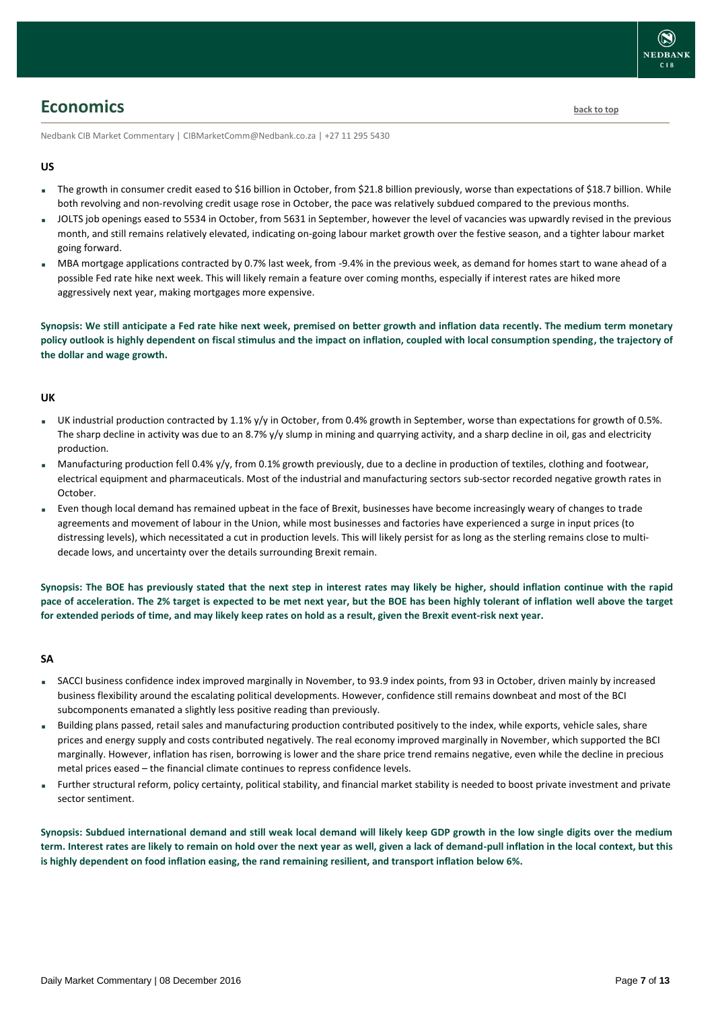### <span id="page-6-0"></span>**Economics [back to top](#page-0-0)**

Nedbank CIB Market Commentary | CIBMarketComm@Nedbank.co.za | +27 11 295 5430

#### **US**

- The growth in consumer credit eased to \$16 billion in October, from \$21.8 billion previously, worse than expectations of \$18.7 billion. While both revolving and non-revolving credit usage rose in October, the pace was relatively subdued compared to the previous months.
- JOLTS job openings eased to 5534 in October, from 5631 in September, however the level of vacancies was upwardly revised in the previous month, and still remains relatively elevated, indicating on-going labour market growth over the festive season, and a tighter labour market going forward.
- MBA mortgage applications contracted by 0.7% last week, from -9.4% in the previous week, as demand for homes start to wane ahead of a possible Fed rate hike next week. This will likely remain a feature over coming months, especially if interest rates are hiked more aggressively next year, making mortgages more expensive.

**Synopsis: We still anticipate a Fed rate hike next week, premised on better growth and inflation data recently. The medium term monetary policy outlook is highly dependent on fiscal stimulus and the impact on inflation, coupled with local consumption spending, the trajectory of the dollar and wage growth.**

#### **UK**

- UK industrial production contracted by 1.1% y/y in October, from 0.4% growth in September, worse than expectations for growth of 0.5%. The sharp decline in activity was due to an 8.7% y/y slump in mining and quarrying activity, and a sharp decline in oil, gas and electricity production.
- Manufacturing production fell 0.4% y/y, from 0.1% growth previously, due to a decline in production of textiles, clothing and footwear, electrical equipment and pharmaceuticals. Most of the industrial and manufacturing sectors sub-sector recorded negative growth rates in October.
- Even though local demand has remained upbeat in the face of Brexit, businesses have become increasingly weary of changes to trade agreements and movement of labour in the Union, while most businesses and factories have experienced a surge in input prices (to distressing levels), which necessitated a cut in production levels. This will likely persist for as long as the sterling remains close to multidecade lows, and uncertainty over the details surrounding Brexit remain.

**Synopsis: The BOE has previously stated that the next step in interest rates may likely be higher, should inflation continue with the rapid pace of acceleration. The 2% target is expected to be met next year, but the BOE has been highly tolerant of inflation well above the target for extended periods of time, and may likely keep rates on hold as a result, given the Brexit event-risk next year.**

#### **SA**

- SACCI business confidence index improved marginally in November, to 93.9 index points, from 93 in October, driven mainly by increased business flexibility around the escalating political developments. However, confidence still remains downbeat and most of the BCI subcomponents emanated a slightly less positive reading than previously.
- Building plans passed, retail sales and manufacturing production contributed positively to the index, while exports, vehicle sales, share prices and energy supply and costs contributed negatively. The real economy improved marginally in November, which supported the BCI marginally. However, inflation has risen, borrowing is lower and the share price trend remains negative, even while the decline in precious metal prices eased – the financial climate continues to repress confidence levels.
- Further structural reform, policy certainty, political stability, and financial market stability is needed to boost private investment and private sector sentiment.

**Synopsis: Subdued international demand and still weak local demand will likely keep GDP growth in the low single digits over the medium term. Interest rates are likely to remain on hold over the next year as well, given a lack of demand-pull inflation in the local context, but this is highly dependent on food inflation easing, the rand remaining resilient, and transport inflation below 6%.**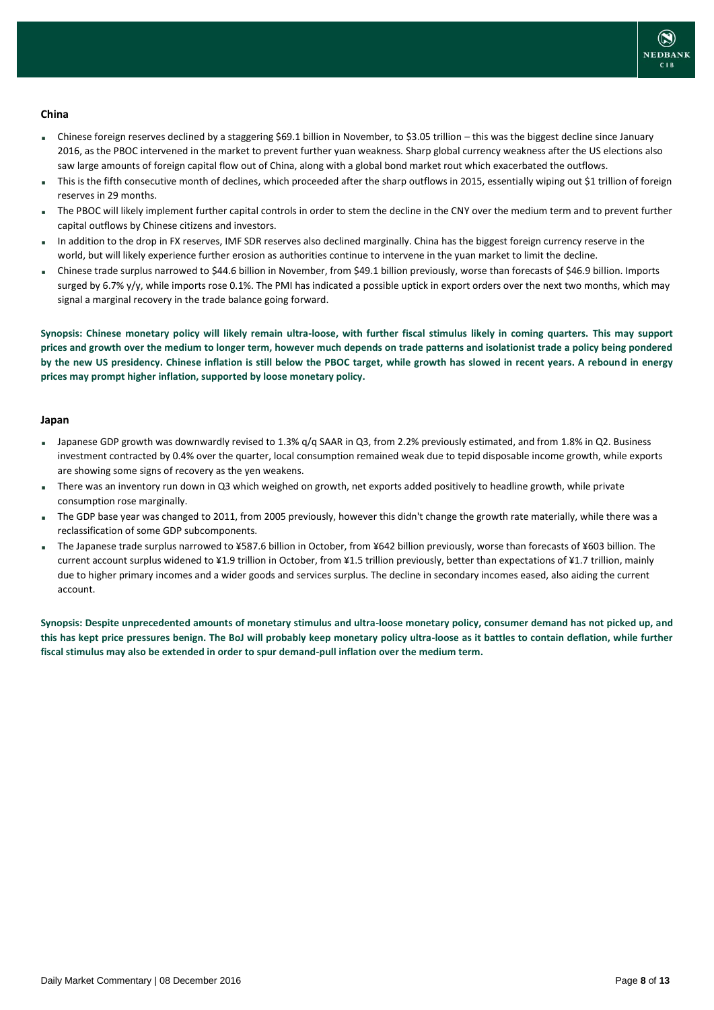

#### **China**

- Chinese foreign reserves declined by a staggering \$69.1 billion in November, to \$3.05 trillion this was the biggest decline since January 2016, as the PBOC intervened in the market to prevent further yuan weakness. Sharp global currency weakness after the US elections also saw large amounts of foreign capital flow out of China, along with a global bond market rout which exacerbated the outflows.
- This is the fifth consecutive month of declines, which proceeded after the sharp outflows in 2015, essentially wiping out \$1 trillion of foreign reserves in 29 months.
- The PBOC will likely implement further capital controls in order to stem the decline in the CNY over the medium term and to prevent further capital outflows by Chinese citizens and investors.
- In addition to the drop in FX reserves, IMF SDR reserves also declined marginally. China has the biggest foreign currency reserve in the world, but will likely experience further erosion as authorities continue to intervene in the yuan market to limit the decline.
- Chinese trade surplus narrowed to \$44.6 billion in November, from \$49.1 billion previously, worse than forecasts of \$46.9 billion. Imports surged by 6.7% y/y, while imports rose 0.1%. The PMI has indicated a possible uptick in export orders over the next two months, which may signal a marginal recovery in the trade balance going forward.

**Synopsis: Chinese monetary policy will likely remain ultra-loose, with further fiscal stimulus likely in coming quarters. This may support prices and growth over the medium to longer term, however much depends on trade patterns and isolationist trade a policy being pondered by the new US presidency. Chinese inflation is still below the PBOC target, while growth has slowed in recent years. A rebound in energy prices may prompt higher inflation, supported by loose monetary policy.**

#### **Japan**

- Japanese GDP growth was downwardly revised to 1.3% q/q SAAR in Q3, from 2.2% previously estimated, and from 1.8% in Q2. Business investment contracted by 0.4% over the quarter, local consumption remained weak due to tepid disposable income growth, while exports are showing some signs of recovery as the yen weakens.
- There was an inventory run down in Q3 which weighed on growth, net exports added positively to headline growth, while private consumption rose marginally.
- The GDP base year was changed to 2011, from 2005 previously, however this didn't change the growth rate materially, while there was a reclassification of some GDP subcomponents.
- The Japanese trade surplus narrowed to ¥587.6 billion in October, from ¥642 billion previously, worse than forecasts of ¥603 billion. The current account surplus widened to ¥1.9 trillion in October, from ¥1.5 trillion previously, better than expectations of ¥1.7 trillion, mainly due to higher primary incomes and a wider goods and services surplus. The decline in secondary incomes eased, also aiding the current account.

**Synopsis: Despite unprecedented amounts of monetary stimulus and ultra-loose monetary policy, consumer demand has not picked up, and this has kept price pressures benign. The BoJ will probably keep monetary policy ultra-loose as it battles to contain deflation, while further fiscal stimulus may also be extended in order to spur demand-pull inflation over the medium term.**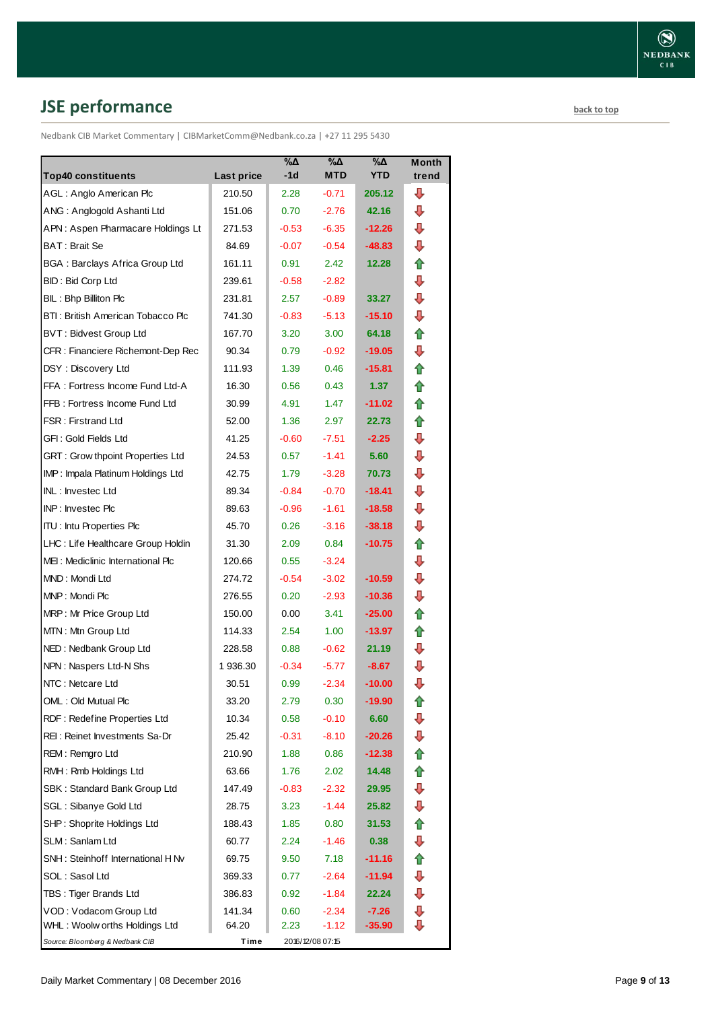# <span id="page-8-0"></span>**JSE performance [back to top](#page-0-0)**

Nedbank CIB Market Commentary | CIBMarketComm@Nedbank.co.za | +27 11 295 5430

| <b>Top40 constituents</b>             | Last price | $\%$ $\Delta$<br>-1d | %Δ<br><b>MTD</b> | $\% \Delta$<br><b>YTD</b> | Month<br>trend |
|---------------------------------------|------------|----------------------|------------------|---------------------------|----------------|
| AGL: Anglo American Plc               | 210.50     | 2.28                 | $-0.71$          | 205.12                    | ⊕              |
| ANG: Anglogold Ashanti Ltd            | 151.06     | 0.70                 | $-2.76$          | 42.16                     | ⊕              |
| APN: Aspen Pharmacare Holdings Lt     | 271.53     | $-0.53$              | $-6.35$          | $-12.26$                  | ⇩              |
| BAT: Brait Se                         | 84.69      | $-0.07$              | $-0.54$          | $-48.83$                  | ⇩              |
| <b>BGA: Barclays Africa Group Ltd</b> | 161.11     | 0.91                 | 2.42             | 12.28                     | ✿              |
| BID: Bid Corp Ltd                     | 239.61     | $-0.58$              | $-2.82$          |                           | ⇩              |
| BIL: Bhp Billiton Plc                 | 231.81     | 2.57                 | $-0.89$          | 33.27                     | ⇩              |
| BTI: British American Tobacco Plc     | 741.30     | $-0.83$              | $-5.13$          | $-15.10$                  | ⊕              |
| BVT: Bidvest Group Ltd                | 167.70     | 3.20                 | 3.00             | 64.18                     | ⇑              |
| CFR : Financiere Richemont-Dep Rec    | 90.34      | 0.79                 | $-0.92$          | -19.05                    | ⇩              |
| DSY: Discovery Ltd                    | 111.93     | 1.39                 | 0.46             | $-15.81$                  | ⇑              |
| FFA: Fortress Income Fund Ltd-A       | 16.30      | 0.56                 | 0.43             | 1.37                      | ⇮              |
| FFB: Fortress Income Fund Ltd         | 30.99      | 4.91                 | 1.47             | $-11.02$                  | ⇑              |
| <b>FSR: Firstrand Ltd</b>             | 52.00      | 1.36                 | 2.97             | 22.73                     | 合              |
| GFI: Gold Fields Ltd                  | 41.25      | $-0.60$              | $-7.51$          | $-2.25$                   | ⇩              |
| GRT : Grow thpoint Properties Ltd     | 24.53      | 0.57                 | $-1.41$          | 5.60                      | ⇩              |
| IMP: Impala Platinum Holdings Ltd     | 42.75      | 1.79                 | $-3.28$          | 70.73                     | ⊕              |
| INL: Investec Ltd                     | 89.34      | $-0.84$              | $-0.70$          | -18.41                    | ⇩              |
| <b>INP:</b> Invested Plc              | 89.63      | $-0.96$              | $-1.61$          | $-18.58$                  | ⇩              |
| <b>ITU: Intu Properties Plc</b>       | 45.70      | 0.26                 | $-3.16$          | $-38.18$                  | ⊕              |
| LHC: Life Healthcare Group Holdin     | 31.30      | 2.09                 | 0.84             | $-10.75$                  | ✿              |
| MEI: Mediclinic International Plc     | 120.66     | 0.55                 | $-3.24$          |                           | ⇩              |
| MND: Mondi Ltd                        | 274.72     | $-0.54$              | $-3.02$          | $-10.59$                  | ⊕              |
| MNP: Mondi Plc                        | 276.55     | 0.20                 | $-2.93$          | $-10.36$                  | ⇩              |
| MRP: Mr Price Group Ltd               | 150.00     | 0.00                 | 3.41             | $-25.00$                  | ⇑              |
| MTN: Mtn Group Ltd                    | 114.33     | 2.54                 | 1.00             | $-13.97$                  | ⇑              |
| NED: Nedbank Group Ltd                | 228.58     | 0.88                 | $-0.62$          | 21.19                     | ⊕              |
| NPN: Naspers Ltd-N Shs                | 1936.30    | $-0.34$              | $-5.77$          | $-8.67$                   | ⇩              |
| NTC: Netcare Ltd                      | 30.51      | 0.99                 | $-2.34$          | $-10.00$                  | ⇩              |
| OML: Old Mutual Plc                   | 33.20      | 2.79                 | 0.30             | $-19.90$                  | ⇑              |
| RDF: Redefine Properties Ltd          | 10.34      | 0.58                 | $-0.10$          | 6.60                      | ⇩              |
| REI: Reinet Investments Sa-Dr         | 25.42      | $-0.31$              | $-8.10$          | $-20.26$                  | ⇩              |
| REM: Remgro Ltd                       | 210.90     | 1.88                 | 0.86             | $-12.38$                  | ⇑              |
| RMH: Rmb Holdings Ltd                 | 63.66      | 1.76                 | 2.02             | 14.48                     | ✿              |
| SBK: Standard Bank Group Ltd          | 147.49     | $-0.83$              | $-2.32$          | 29.95                     | ⊕              |
| SGL : Sibanye Gold Ltd                | 28.75      | 3.23                 | $-1.44$          | 25.82                     | ⇩              |
| SHP: Shoprite Holdings Ltd            | 188.43     | 1.85                 | 0.80             | 31.53                     | ✿              |
| SLM: Sanlam Ltd                       | 60.77      | 2.24                 | $-1.46$          | 0.38                      | ⊕              |
| SNH: Steinhoff International H Nv     | 69.75      | 9.50                 | 7.18             | $-11.16$                  | ⇑              |
| SOL: Sasol Ltd                        | 369.33     | 0.77                 | $-2.64$          | -11.94                    | ⊕              |
| TBS: Tiger Brands Ltd                 | 386.83     | 0.92                 | $-1.84$          | 22.24                     | ⇩              |
| VOD: Vodacom Group Ltd                | 141.34     | 0.60                 | $-2.34$          | $-7.26$                   | ⊕              |
| WHL: Woolw orths Holdings Ltd         | 64.20      | 2.23                 | $-1.12$          | $-35.90$                  | ⇩              |
| Source: Bloomberg & Nedbank CIB       | Time       |                      | 2016/12/08 07:15 |                           |                |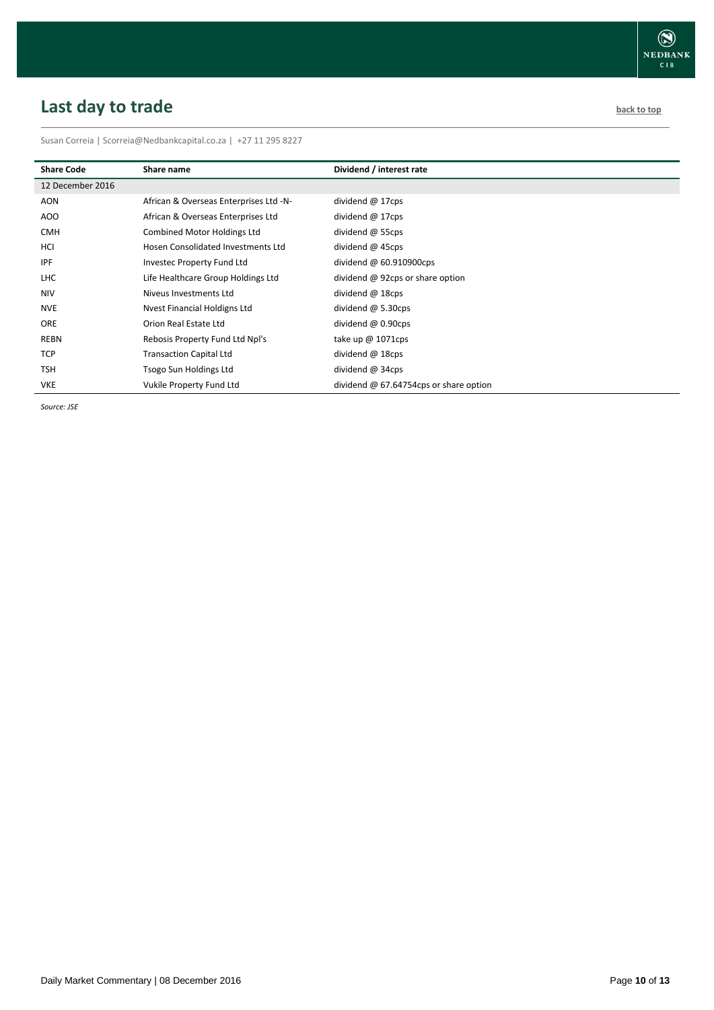# <span id="page-9-0"></span>**Last day to trade back to the contract of the contract of the contract of the contract of the contract of the contract of the contract of the contract of the contract of the contract of the contract of the contract of t**

Susan Correia | [Scorreia@Nedbankcapital.co.za](mailto:Scorreia@Nedbankcapital.co.za) | +27 11 295 8227

| <b>Share Code</b> | Share name                             | Dividend / interest rate                 |
|-------------------|----------------------------------------|------------------------------------------|
| 12 December 2016  |                                        |                                          |
| AON               | African & Overseas Enterprises Ltd -N- | dividend $@$ 17cps                       |
| AOO               | African & Overseas Enterprises Ltd     | dividend $@$ 17cps                       |
| <b>CMH</b>        | Combined Motor Holdings Ltd            | dividend $\omega$ 55cps                  |
| HCI               | Hosen Consolidated Investments Ltd     | dividend $@$ 45cps                       |
| <b>IPF</b>        | Investec Property Fund Ltd             | dividend $@$ 60.910900cps                |
| <b>LHC</b>        | Life Healthcare Group Holdings Ltd     | dividend @ 92cps or share option         |
| <b>NIV</b>        | Niveus Investments Ltd                 | dividend $@$ 18cps                       |
| <b>NVE</b>        | Nyest Financial Holdigns Ltd           | dividend $\omega$ 5.30cps                |
| <b>ORE</b>        | Orion Real Estate Ltd                  | dividend $\omega$ 0.90cps                |
| REBN              | Rebosis Property Fund Ltd Npl's        | take up $@1071cps$                       |
| <b>TCP</b>        | <b>Transaction Capital Ltd</b>         | dividend @ 18cps                         |
| <b>TSH</b>        | Tsogo Sun Holdings Ltd                 | dividend @ 34cps                         |
| <b>VKE</b>        | Vukile Property Fund Ltd               | dividend $@$ 67.64754cps or share option |

*Source: JSE*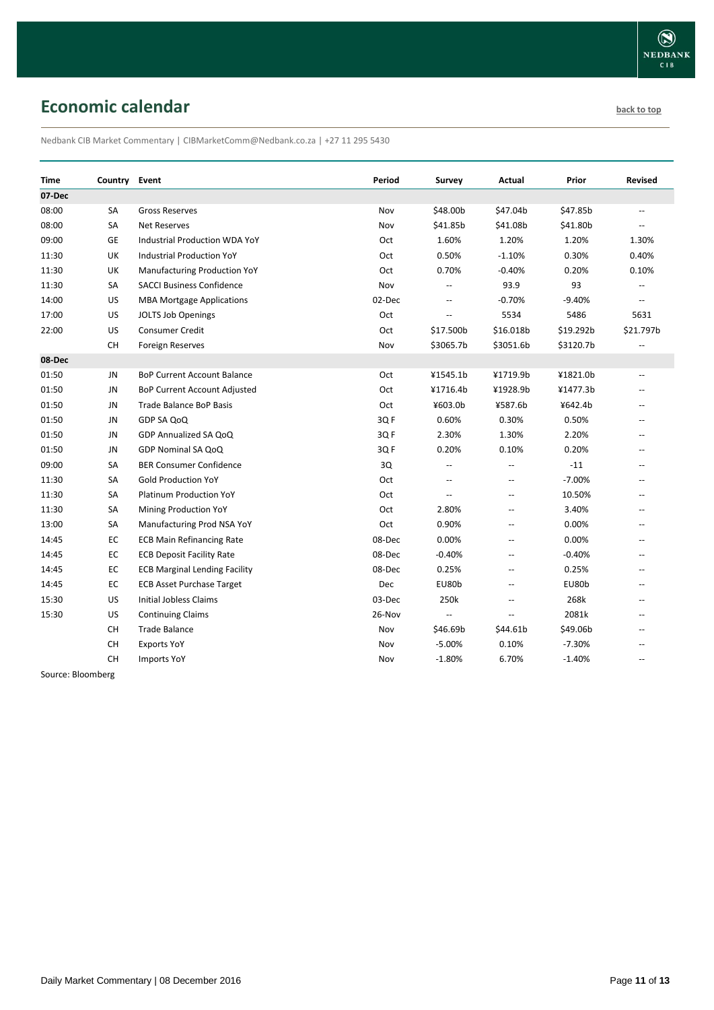# <span id="page-10-0"></span>**Economic calendar [back to top](#page-0-0) back to top**

Nedbank CIB Market Commentary | CIBMarketComm@Nedbank.co.za | +27 11 295 5430

| Time    | Country   | Event                                | Period | Survey                   | Actual         | Prior     | Revised                  |
|---------|-----------|--------------------------------------|--------|--------------------------|----------------|-----------|--------------------------|
| 07 Dec  |           |                                      |        |                          |                |           |                          |
| 08:00   | <b>SA</b> | <b>Gross Reserves</b>                | Nov    | \$48.00b                 | \$47.04b       | \$47.85b  | $-$                      |
| 08:00   | <b>SA</b> | <b>Net Reserves</b>                  | Nov    | \$41.85b                 | \$41.08b       | \$41.80b  | $\overline{a}$           |
| 09:00   | GE        | Industrial Production WDA YoY        | Oct    | 1.60%                    | 1.20%          | 1.20%     | 1.30%                    |
| 11:30   | UK        | <b>Industrial Production YoY</b>     | Oct    | 0.50%                    | $-1.10%$       | 0.30%     | 0.40%                    |
| 11:30   | UK        | Manufacturing Production YoY         | Oct    | 0.70%                    | $-0.40%$       | 0.20%     | 0.10%                    |
| 11:30   | SА        | <b>SACCI Business Confidence</b>     | Nov    | $\overline{a}$           | 93.9           | 93        | $\overline{a}$           |
| 14:00   | US        | <b>MBA Mortgage Applications</b>     | 02-Dec | $\overline{\phantom{a}}$ | $-0.70%$       | $-9.40%$  | $\overline{\phantom{a}}$ |
| 17:00   | US        | JOLTS Job Openings                   | Oct    | $\overline{\phantom{a}}$ | 5534           | 5486      | 5631                     |
| 22:00   | US        | <b>Consumer Credit</b>               | Oct    | \$17.500b                | \$16.018b      | \$19.292b | \$21.797b                |
|         | <b>CH</b> | Foreign Reserves                     | Nov    | \$3065.7b                | \$3051.6b      | \$3120.7b |                          |
| 08-Dec  |           |                                      |        |                          |                |           |                          |
| 01:50   | JN        | <b>BoP Current Account Balance</b>   | Oct    | ¥1545.1b                 | ¥1719.9b       | ¥1821.0b  | $\overline{\phantom{a}}$ |
| 01:50   | JN.       | BoP Current Account Adjusted         | Oct    | ¥1716.4b                 | ¥1928.9b       | ¥1477.3b  |                          |
| 01:50   | JN.       | Trade Balance BoP Basis              | Oct    | ¥603.0b                  | ¥587.6b        | ¥642.4b   | $\overline{\phantom{a}}$ |
| 01:50   | JN.       | GDP SA QoQ                           | 3Q F   | 0.60%                    | 0.30%          | 0.50%     | $\overline{a}$           |
| 01:50   | JN        | GDP Annualized SA QoQ                | 3Q F   | 2.30%                    | 1.30%          | 2.20%     | $\overline{a}$           |
| 01:50   | JN        | GDP Nominal SA QoQ                   | 3QF    | 0.20%                    | 0.10%          | 0.20%     | $\sim$                   |
| 09:00   | SА        | <b>BER Consumer Confidence</b>       | 3Q     | $\overline{a}$           | $-$            | $-11$     | $\overline{a}$           |
| 11:30   | SA        | <b>Gold Production YoY</b>           | Oct    | $\overline{a}$           | $\overline{a}$ | $-7.00%$  | $-$                      |
| 11:30   | SA        | <b>Platinum Production YoY</b>       | Oct    | $\overline{\phantom{a}}$ | $\overline{a}$ | 10.50%    | $\overline{a}$           |
| 11:30   | SA        | Mining Production YoY                | Oct    | 2.80%                    | $\overline{a}$ | 3.40%     |                          |
| 13:00   | SA        | Manufacturing Prod NSA YoY           | Oct    | 0.90%                    | $\overline{a}$ | 0.00%     |                          |
| 14:45   | EC        | <b>ECB Main Refinancing Rate</b>     | 08-Dec | 0.00%                    | $-$            | 0.00%     | $\overline{a}$           |
| 14:45   | EC        | <b>ECB Deposit Facility Rate</b>     | 08-Dec | $-0.40%$                 | $\overline{a}$ | $-0.40%$  | $-$                      |
| 14:45   | EC        | <b>ECB Marginal Lending Facility</b> | 08-Dec | 0.25%                    | $\overline{a}$ | 0.25%     | Ξ.                       |
| 14:45   | EC        | <b>ECB Asset Purchase Target</b>     | Dec    | EU80b                    | $\overline{a}$ | EU80b     | $\overline{a}$           |
| 15:30   | US        | Initial Jobless Claims               | 03-Dec | 250k                     | $\overline{a}$ | 268k      | $\overline{\phantom{a}}$ |
| 15:30   | US        | <b>Continuing Claims</b>             | 26-Nov |                          | $\overline{a}$ | 2081k     | $-$                      |
|         | <b>CH</b> | <b>Trade Balance</b>                 | Nov    | \$46.69b                 | \$44.61b       | \$49.06b  | $\overline{\phantom{a}}$ |
|         | CH        | <b>Exports YoY</b>                   | Nov    | $-5.00%$                 | 0.10%          | $-7.30%$  |                          |
|         | CH        | <b>Imports YoY</b>                   | Nov    | $-1.80%$                 | 6.70%          | $-1.40%$  | $\overline{a}$           |
| $C = 1$ |           |                                      |        |                          |                |           |                          |

Source: Bloomberg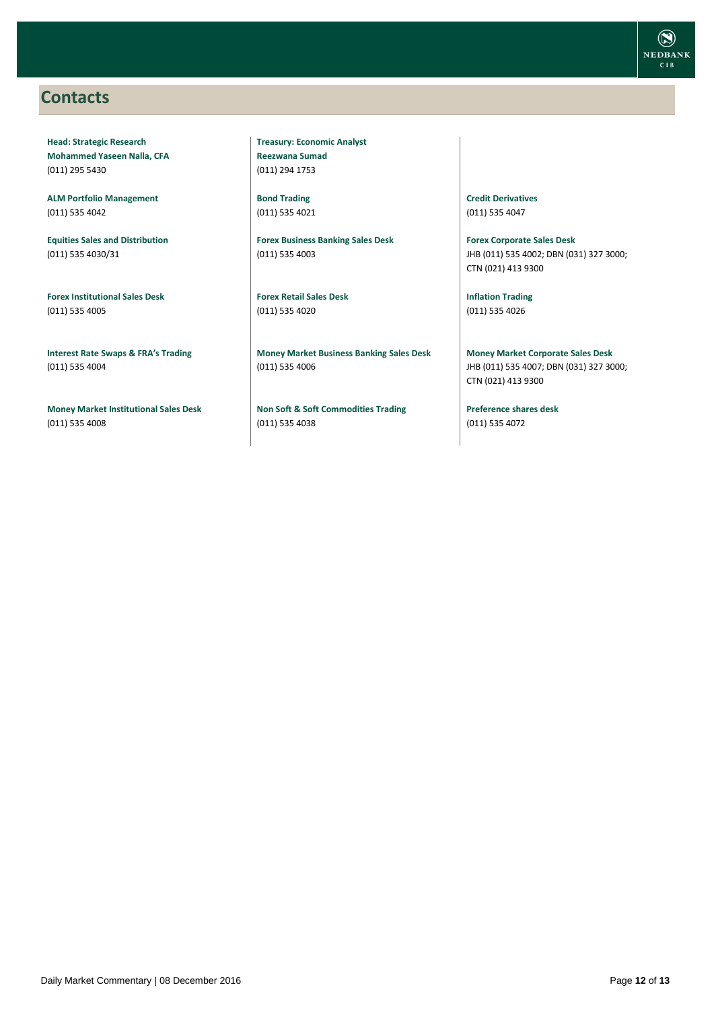### <span id="page-11-0"></span>**Contacts**

**Head: Strategic Research Mohammed Yaseen Nalla, CFA** (011) 295 5430

**ALM Portfolio Management** (011) 535 4042

**Equities Sales and Distribution** (011) 535 4030/31

**Forex Institutional Sales Desk** (011) 535 4005

**Interest Rate Swaps & FRA's Trading** (011) 535 4004

**Money Market Institutional Sales Desk** (011) 535 4008

**Treasury: Economic Analyst Reezwana Sumad** (011) 294 1753

**Bond Trading** (011) 535 4021

**Forex Business Banking Sales Desk** (011) 535 4003

**Forex Retail Sales Desk** (011) 535 4020

**Money Market Business Banking Sales Desk** (011) 535 4006

**Non Soft & Soft Commodities Trading** (011) 535 4038

**Credit Derivatives**  (011) 535 4047

**Forex Corporate Sales Desk** JHB (011) 535 4002; DBN (031) 327 3000; CTN (021) 413 9300

**Inflation Trading** (011) 535 4026

**Money Market Corporate Sales Desk** JHB (011) 535 4007; DBN (031) 327 3000; CTN (021) 413 9300

**Preference shares desk** (011) 535 4072